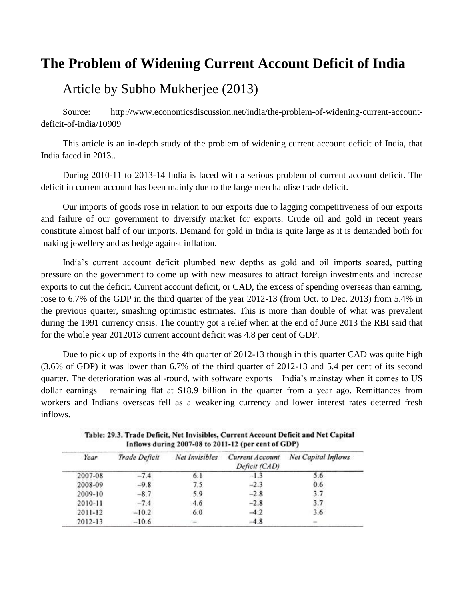## **The Problem of Widening Current Account Deficit of India**

## Article by Subho Mukherjee (2013)

Source: http://www.economicsdiscussion.net/india/the-problem-of-widening-current-accountdeficit-of-india/10909

This article is an in-depth study of the problem of widening current account deficit of India, that India faced in 2013..

During 2010-11 to 2013-14 India is faced with a serious problem of current account deficit. The deficit in current account has been mainly due to the large merchandise trade deficit.

Our imports of goods rose in relation to our exports due to lagging competitiveness of our exports and failure of our government to diversify market for exports. Crude oil and gold in recent years constitute almost half of our imports. Demand for gold in India is quite large as it is demanded both for making jewellery and as hedge against inflation.

India"s current account deficit plumbed new depths as gold and oil imports soared, putting pressure on the government to come up with new measures to attract foreign investments and increase exports to cut the deficit. Current account deficit, or CAD, the excess of spending overseas than earning, rose to 6.7% of the GDP in the third quarter of the year 2012-13 (from Oct. to Dec. 2013) from 5.4% in the previous quarter, smashing optimistic estimates. This is more than double of what was prevalent during the 1991 currency crisis. The country got a relief when at the end of June 2013 the RBI said that for the whole year 2012013 current account deficit was 4.8 per cent of GDP.

Due to pick up of exports in the 4th quarter of 2012-13 though in this quarter CAD was quite high (3.6% of GDP) it was lower than 6.7% of the third quarter of 2012-13 and 5.4 per cent of its second quarter. The deterioration was all-round, with software exports – India"s mainstay when it comes to US dollar earnings – remaining flat at \$18.9 billion in the quarter from a year ago. Remittances from workers and Indians overseas fell as a weakening currency and lower interest rates deterred fresh inflows.

| Year.   | Trade Deficit | Net Invisibles | Current Account<br>Deficit (CAD) | <b>Net Capital Inflows</b> |  |  |
|---------|---------------|----------------|----------------------------------|----------------------------|--|--|
| 2007-08 | $-7.4$        | 6.1            | $-1.3$                           | 5.6                        |  |  |
| 2008-09 | $-9.8$        | 7.5            | $-2.3$                           | 0.6                        |  |  |
| 2009-10 | $-8.7$        | 5.9            | $-2.8$                           | 3.7                        |  |  |
| 2010-11 | $-7.4$        | 4.6            | $-2.8$                           | 3.7                        |  |  |
| 2011-12 | $-10.2$       | 6.0            | $-4.2$                           | 3.6                        |  |  |
| 2012-13 | $-10.6$       |                | $-4.8$                           |                            |  |  |

Table: 29.3. Trade Deficit, Net Invisibles, Current Account Deficit and Net Capital Inflows during 2007-08 to 2011-12 (per cent of GDP)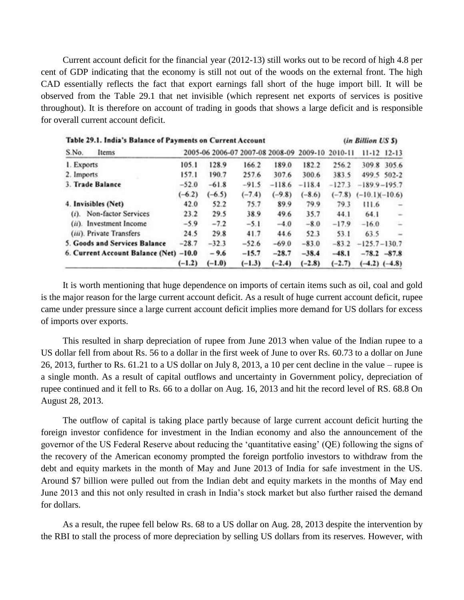Current account deficit for the financial year (2012-13) still works out to be record of high 4.8 per cent of GDP indicating that the economy is still not out of the woods on the external front. The high CAD essentially reflects the fact that export earnings fall short of the huge import bill. It will be observed from the Table 29.1 that net invisible (which represent net exports of services is positive throughout). It is therefore on account of trading in goods that shows a large deficit and is responsible for overall current account deficit.

| Table 29.1. India's Balance of Payments on Current Account | (in Billion US \$) |                                                 |          |          |          |          |                   |                          |
|------------------------------------------------------------|--------------------|-------------------------------------------------|----------|----------|----------|----------|-------------------|--------------------------|
| S.No.<br>Items                                             |                    | 2005-06 2006-07 2007-08 2008-09 2009-10 2010-11 |          |          |          |          |                   | $11 - 12$ $12 - 13$      |
| 1. Exports                                                 | 105.1              | 128.9                                           | 166.2    | 189.0    | 182.2    | 256.2    |                   | 309.8 305.6              |
| 2. Imports                                                 | 157.1              | 190.7                                           | 257.6    | 307.6    | 300.6    | 383.5    |                   | 499.5 502-2              |
| 3. Trade Balance                                           | $-52.0$            | $-61.8$                                         | $-91.5$  | $-118.6$ | $-118.4$ | $-127.3$ | $-189.9 - 195.7$  |                          |
|                                                            | $(-6.2)$           | $(-6.5)$                                        | $(-7.4)$ | $(-9.8)$ | $(-8.6)$ | $(-7.8)$ | $(-10.1)(-10.6)$  |                          |
| 4. Invisibles (Net)                                        | 42.0               | 52.2                                            | 75.7     | 89.9     | 79.9     | 79.3     | 111.6             | $\overline{\phantom{a}}$ |
| (i). Non-factor Services                                   | 23.2               | 29.5                                            | 38.9     | 49.6     | 35.7     | 44.1     | 64.1              | ÷                        |
| (ii). Investment Income                                    | $-5.9$             | $-7.2$                                          | $-5.1$   | $-4.0$   | $-8.0$   | $-17.9$  | $-16.0$           | $\overline{\phantom{a}}$ |
| (iii). Private Transfers                                   | 24.5               | 29.8                                            | 41.7     | 44.6     | 52.3     | 53.1     | 63.5              | $\overline{\phantom{a}}$ |
| 5. Goods and Services Balance                              | $-28.7$            | $-32.3$                                         | $-52.6$  | $-69.0$  | $-83.0$  | $-83.2$  | $-125.7 - 130.7$  |                          |
| 6. Current Account Balance (Net) -10.0                     |                    | $-9.6$                                          | $-15.7$  | $-28.7$  | $-38.4$  | $-48.1$  | $-78.2 - 87.8$    |                          |
|                                                            | $(-1.2)$           | $(-1.0)$                                        | $(-1.3)$ | $(-2.4)$ | $(-2.8)$ | $(-2.7)$ | $(-4.2)$ $(-4.8)$ |                          |

It is worth mentioning that huge dependence on imports of certain items such as oil, coal and gold is the major reason for the large current account deficit. As a result of huge current account deficit, rupee came under pressure since a large current account deficit implies more demand for US dollars for excess of imports over exports.

This resulted in sharp depreciation of rupee from June 2013 when value of the Indian rupee to a US dollar fell from about Rs. 56 to a dollar in the first week of June to over Rs. 60.73 to a dollar on June 26, 2013, further to Rs. 61.21 to a US dollar on July 8, 2013, a 10 per cent decline in the value – rupee is a single month. As a result of capital outflows and uncertainty in Government policy, depreciation of rupee continued and it fell to Rs. 66 to a dollar on Aug. 16, 2013 and hit the record level of RS. 68.8 On August 28, 2013.

The outflow of capital is taking place partly because of large current account deficit hurting the foreign investor confidence for investment in the Indian economy and also the announcement of the governor of the US Federal Reserve about reducing the "quantitative easing" (QE) following the signs of the recovery of the American economy prompted the foreign portfolio investors to withdraw from the debt and equity markets in the month of May and June 2013 of India for safe investment in the US. Around \$7 billion were pulled out from the Indian debt and equity markets in the months of May end June 2013 and this not only resulted in crash in India"s stock market but also further raised the demand for dollars.

As a result, the rupee fell below Rs. 68 to a US dollar on Aug. 28, 2013 despite the intervention by the RBI to stall the process of more depreciation by selling US dollars from its reserves. However, with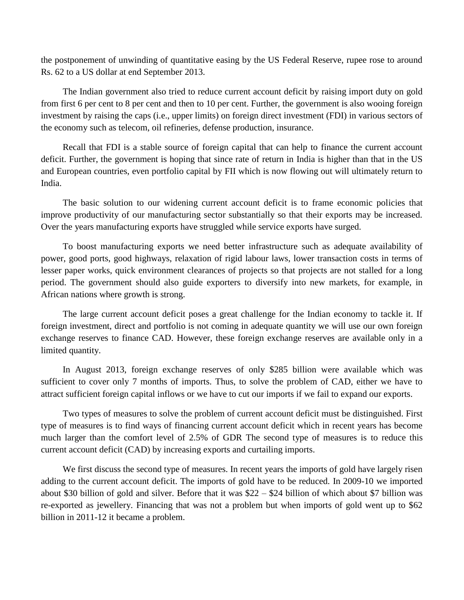the postponement of unwinding of quantitative easing by the US Federal Reserve, rupee rose to around Rs. 62 to a US dollar at end September 2013.

The Indian government also tried to reduce current account deficit by raising import duty on gold from first 6 per cent to 8 per cent and then to 10 per cent. Further, the government is also wooing foreign investment by raising the caps (i.e., upper limits) on foreign direct investment (FDI) in various sectors of the economy such as telecom, oil refineries, defense production, insurance.

Recall that FDI is a stable source of foreign capital that can help to finance the current account deficit. Further, the government is hoping that since rate of return in India is higher than that in the US and European countries, even portfolio capital by FII which is now flowing out will ultimately return to India.

The basic solution to our widening current account deficit is to frame economic policies that improve productivity of our manufacturing sector substantially so that their exports may be increased. Over the years manufacturing exports have struggled while service exports have surged.

To boost manufacturing exports we need better infrastructure such as adequate availability of power, good ports, good highways, relaxation of rigid labour laws, lower transaction costs in terms of lesser paper works, quick environment clearances of projects so that projects are not stalled for a long period. The government should also guide exporters to diversify into new markets, for example, in African nations where growth is strong.

The large current account deficit poses a great challenge for the Indian economy to tackle it. If foreign investment, direct and portfolio is not coming in adequate quantity we will use our own foreign exchange reserves to finance CAD. However, these foreign exchange reserves are available only in a limited quantity.

In August 2013, foreign exchange reserves of only \$285 billion were available which was sufficient to cover only 7 months of imports. Thus, to solve the problem of CAD, either we have to attract sufficient foreign capital inflows or we have to cut our imports if we fail to expand our exports.

Two types of measures to solve the problem of current account deficit must be distinguished. First type of measures is to find ways of financing current account deficit which in recent years has become much larger than the comfort level of 2.5% of GDR The second type of measures is to reduce this current account deficit (CAD) by increasing exports and curtailing imports.

We first discuss the second type of measures. In recent years the imports of gold have largely risen adding to the current account deficit. The imports of gold have to be reduced. In 2009-10 we imported about \$30 billion of gold and silver. Before that it was \$22 – \$24 billion of which about \$7 billion was re-exported as jewellery. Financing that was not a problem but when imports of gold went up to \$62 billion in 2011-12 it became a problem.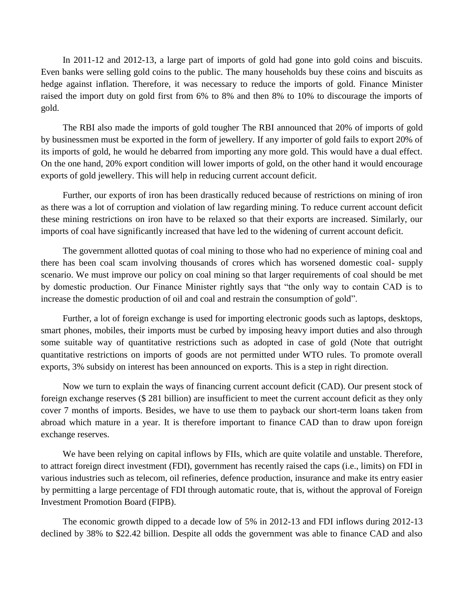In 2011-12 and 2012-13, a large part of imports of gold had gone into gold coins and biscuits. Even banks were selling gold coins to the public. The many households buy these coins and biscuits as hedge against inflation. Therefore, it was necessary to reduce the imports of gold. Finance Minister raised the import duty on gold first from 6% to 8% and then 8% to 10% to discourage the imports of gold.

The RBI also made the imports of gold tougher The RBI announced that 20% of imports of gold by businessmen must be exported in the form of jewellery. If any importer of gold fails to export 20% of its imports of gold, he would he debarred from importing any more gold. This would have a dual effect. On the one hand, 20% export condition will lower imports of gold, on the other hand it would encourage exports of gold jewellery. This will help in reducing current account deficit.

Further, our exports of iron has been drastically reduced because of restrictions on mining of iron as there was a lot of corruption and violation of law regarding mining. To reduce current account deficit these mining restrictions on iron have to be relaxed so that their exports are increased. Similarly, our imports of coal have significantly increased that have led to the widening of current account deficit.

The government allotted quotas of coal mining to those who had no experience of mining coal and there has been coal scam involving thousands of crores which has worsened domestic coal- supply scenario. We must improve our policy on coal mining so that larger requirements of coal should be met by domestic production. Our Finance Minister rightly says that "the only way to contain CAD is to increase the domestic production of oil and coal and restrain the consumption of gold".

Further, a lot of foreign exchange is used for importing electronic goods such as laptops, desktops, smart phones, mobiles, their imports must be curbed by imposing heavy import duties and also through some suitable way of quantitative restrictions such as adopted in case of gold (Note that outright quantitative restrictions on imports of goods are not permitted under WTO rules. To promote overall exports, 3% subsidy on interest has been announced on exports. This is a step in right direction.

Now we turn to explain the ways of financing current account deficit (CAD). Our present stock of foreign exchange reserves (\$ 281 billion) are insufficient to meet the current account deficit as they only cover 7 months of imports. Besides, we have to use them to payback our short-term loans taken from abroad which mature in a year. It is therefore important to finance CAD than to draw upon foreign exchange reserves.

We have been relying on capital inflows by FIIs, which are quite volatile and unstable. Therefore, to attract foreign direct investment (FDI), government has recently raised the caps (i.e., limits) on FDI in various industries such as telecom, oil refineries, defence production, insurance and make its entry easier by permitting a large percentage of FDI through automatic route, that is, without the approval of Foreign Investment Promotion Board (FIPB).

The economic growth dipped to a decade low of 5% in 2012-13 and FDI inflows during 2012-13 declined by 38% to \$22.42 billion. Despite all odds the government was able to finance CAD and also